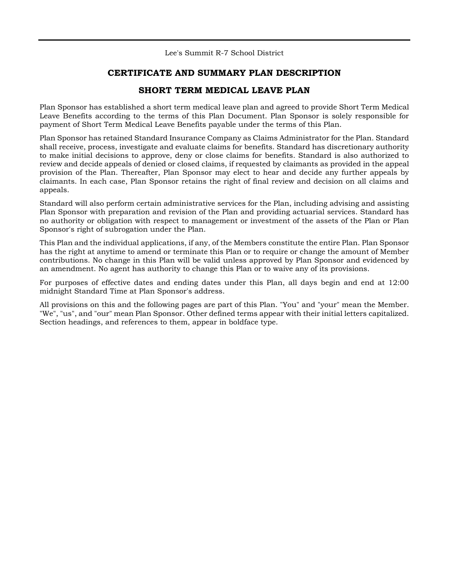Lee's Summit R-7 School District

## **CERTIFICATE AND SUMMARY PLAN DESCRIPTION**

### **SHORT TERM MEDICAL LEAVE PLAN**

Plan Sponsor has established a short term medical leave plan and agreed to provide Short Term Medical Leave Benefits according to the terms of this Plan Document. Plan Sponsor is solely responsible for payment of Short Term Medical Leave Benefits payable under the terms of this Plan.

Plan Sponsor has retained Standard Insurance Company as Claims Administrator for the Plan. Standard shall receive, process, investigate and evaluate claims for benefits. Standard has discretionary authority to make initial decisions to approve, deny or close claims for benefits. Standard is also authorized to review and decide appeals of denied or closed claims, if requested by claimants as provided in the appeal provision of the Plan. Thereafter, Plan Sponsor may elect to hear and decide any further appeals by claimants. In each case, Plan Sponsor retains the right of final review and decision on all claims and appeals.

Standard will also perform certain administrative services for the Plan, including advising and assisting Plan Sponsor with preparation and revision of the Plan and providing actuarial services. Standard has no authority or obligation with respect to management or investment of the assets of the Plan or Plan Sponsor's right of subrogation under the Plan.

This Plan and the individual applications, if any, of the Members constitute the entire Plan. Plan Sponsor has the right at anytime to amend or terminate this Plan or to require or change the amount of Member contributions. No change in this Plan will be valid unless approved by Plan Sponsor and evidenced by an amendment. No agent has authority to change this Plan or to waive any of its provisions.

For purposes of effective dates and ending dates under this Plan, all days begin and end at 12:00 midnight Standard Time at Plan Sponsor's address.

All provisions on this and the following pages are part of this Plan. "You" and "your" mean the Member. "We", "us", and "our" mean Plan Sponsor. Other defined terms appear with their initial letters capitalized. Section headings, and references to them, appear in boldface type.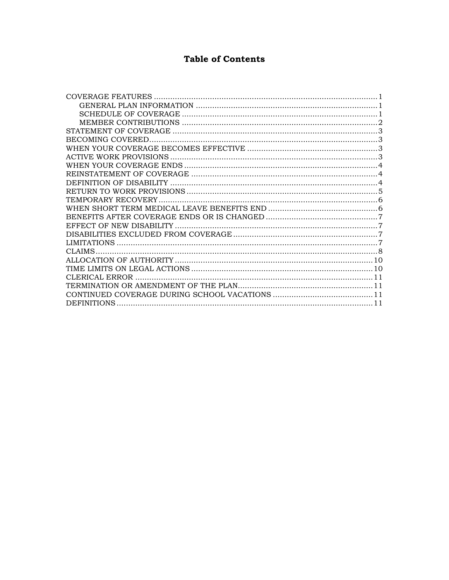# **Table of Contents**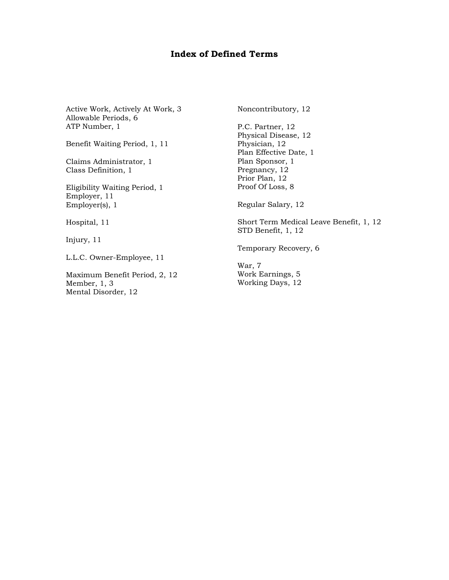## **Index of Defined Terms**

Active Work, Actively At Work, 3 Allowable Periods, 6 ATP Number, 1

Benefit Waiting Period, 1, 11

Claims Administrator, 1 Class Definition, 1

Eligibility Waiting Period, 1 Employer, 11 Employer(s), 1

Hospital, 11

Injury, 11

L.L.C. Owner-Employee, 11

Maximum Benefit Period, 2, 12 Member, 1, 3 Mental Disorder, 12

Noncontributory, 12

P.C. Partner, 12 Physical Disease, 12 Physician, 12 Plan Effective Date, 1 Plan Sponsor, 1 Pregnancy, 12 Prior Plan, 12 Proof Of Loss, 8

Regular Salary, 12

Short Term Medical Leave Benefit, 1, 12 STD Benefit, 1, 12

Temporary Recovery, 6

War, 7 Work Earnings, 5 Working Days, 12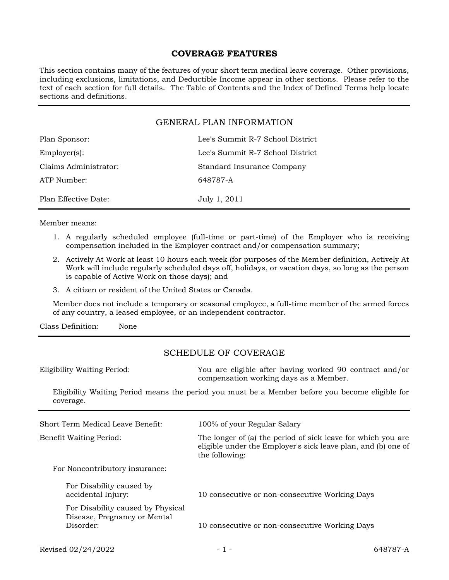#### **COVERAGE FEATURES**

This section contains many of the features of your short term medical leave coverage. Other provisions, including exclusions, limitations, and Deductible Income appear in other sections. Please refer to the text of each section for full details. The Table of Contents and the Index of Defined Terms help locate sections and definitions.

#### GENERAL PLAN INFORMATION

| Plan Sponsor:         | Lee's Summit R-7 School District |
|-----------------------|----------------------------------|
| $Emplover(s)$ :       | Lee's Summit R-7 School District |
| Claims Administrator: | Standard Insurance Company       |
| ATP Number:           | 648787-A                         |
| Plan Effective Date:  | July 1, 2011                     |

Member means:

- 1. A regularly scheduled employee (full-time or part-time) of the Employer who is receiving compensation included in the Employer contract and/or compensation summary;
- 2. Actively At Work at least 10 hours each week (for purposes of the Member definition, Actively At Work will include regularly scheduled days off, holidays, or vacation days, so long as the person is capable of Active Work on those days); and
- 3. A citizen or resident of the United States or Canada.

Member does not include a temporary or seasonal employee, a full-time member of the armed forces of any country, a leased employee, or an independent contractor.

Class Definition: None

## SCHEDULE OF COVERAGE

Eligibility Waiting Period: You are eligible after having worked 90 contract and/or compensation working days as a Member.

Eligibility Waiting Period means the period you must be a Member before you become eligible for coverage.

| Short Term Medical Leave Benefit:                                              | 100% of your Regular Salary                                                                                                                     |
|--------------------------------------------------------------------------------|-------------------------------------------------------------------------------------------------------------------------------------------------|
| Benefit Waiting Period:                                                        | The longer of (a) the period of sick leave for which you are<br>eligible under the Employer's sick leave plan, and (b) one of<br>the following: |
| For Noncontributory insurance:                                                 |                                                                                                                                                 |
| For Disability caused by<br>accidental Injury:                                 | 10 consecutive or non-consecutive Working Days                                                                                                  |
| For Disability caused by Physical<br>Disease, Pregnancy or Mental<br>Disorder: | 10 consecutive or non-consecutive Working Days                                                                                                  |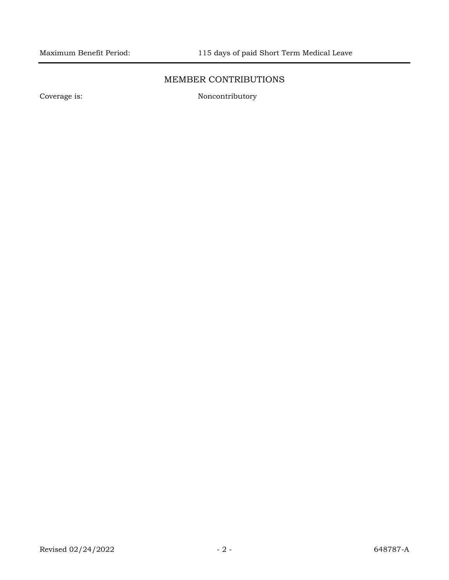## MEMBER CONTRIBUTIONS

Coverage is: Noncontributory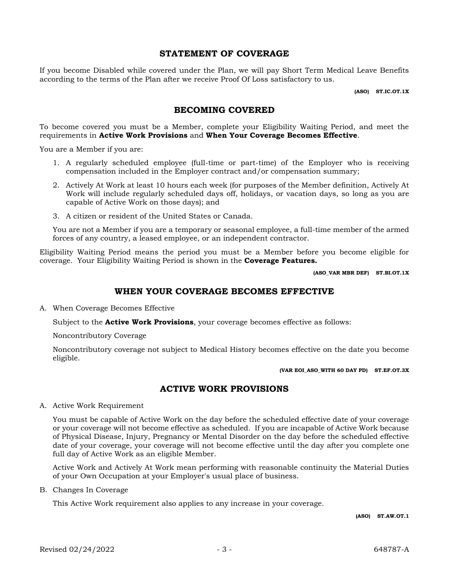#### **STATEMENT OF COVERAGE**

If you become Disabled while covered under the Plan, we will pay Short Term Medical Leave Benefits according to the terms of the Plan after we receive Proof Of Loss satisfactory to us.

**(ASO) ST.IC.OT.1X**

### **BECOMING COVERED**

To become covered you must be a Member, complete your Eligibility Waiting Period, and meet the requirements in **Active Work Provisions** and **When Your Coverage Becomes Effective**.

You are a Member if you are:

- 1. A regularly scheduled employee (full-time or part-time) of the Employer who is receiving compensation included in the Employer contract and/or compensation summary;
- 2. Actively At Work at least 10 hours each week (for purposes of the Member definition, Actively At Work will include regularly scheduled days off, holidays, or vacation days, so long as you are capable of Active Work on those days); and
- 3. A citizen or resident of the United States or Canada.

You are not a Member if you are a temporary or seasonal employee, a full-time member of the armed forces of any country, a leased employee, or an independent contractor.

Eligibility Waiting Period means the period you must be a Member before you become eligible for coverage. Your Eligibility Waiting Period is shown in the **Coverage Features.**

**(ASO\_VAR MBR DEF) ST.BI.OT.1X**

### **WHEN YOUR COVERAGE BECOMES EFFECTIVE**

A. When Coverage Becomes Effective

Subject to the **Active Work Provisions**, your coverage becomes effective as follows:

Noncontributory Coverage

Noncontributory coverage not subject to Medical History becomes effective on the date you become eligible.

**(VAR EOI\_ASO\_WITH 60 DAY PD) ST.EF.OT.3X**

### **ACTIVE WORK PROVISIONS**

A. Active Work Requirement

You must be capable of Active Work on the day before the scheduled effective date of your coverage or your coverage will not become effective as scheduled. If you are incapable of Active Work because of Physical Disease, Injury, Pregnancy or Mental Disorder on the day before the scheduled effective date of your coverage, your coverage will not become effective until the day after you complete one full day of Active Work as an eligible Member.

Active Work and Actively At Work mean performing with reasonable continuity the Material Duties of your Own Occupation at your Employer's usual place of business.

B. Changes In Coverage

This Active Work requirement also applies to any increase in your coverage.

**(ASO) ST.AW.OT.1**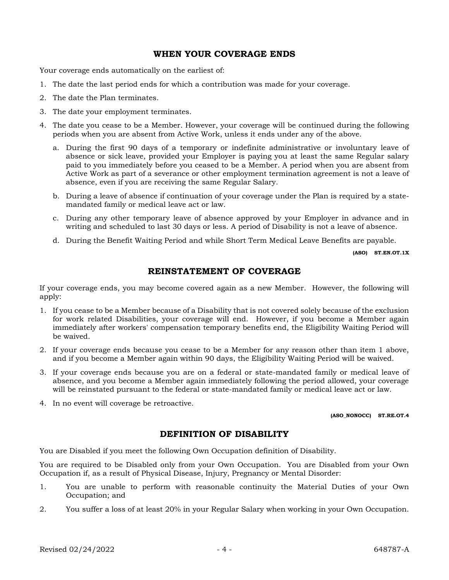### **WHEN YOUR COVERAGE ENDS**

Your coverage ends automatically on the earliest of:

- 1. The date the last period ends for which a contribution was made for your coverage.
- 2. The date the Plan terminates.
- 3. The date your employment terminates.
- 4. The date you cease to be a Member. However, your coverage will be continued during the following periods when you are absent from Active Work, unless it ends under any of the above.
	- a. During the first 90 days of a temporary or indefinite administrative or involuntary leave of absence or sick leave, provided your Employer is paying you at least the same Regular salary paid to you immediately before you ceased to be a Member. A period when you are absent from Active Work as part of a severance or other employment termination agreement is not a leave of absence, even if you are receiving the same Regular Salary.
	- b. During a leave of absence if continuation of your coverage under the Plan is required by a statemandated family or medical leave act or law.
	- c. During any other temporary leave of absence approved by your Employer in advance and in writing and scheduled to last 30 days or less. A period of Disability is not a leave of absence.
	- d. During the Benefit Waiting Period and while Short Term Medical Leave Benefits are payable.

**(ASO) ST.EN.OT.1X**

## **REINSTATEMENT OF COVERAGE**

If your coverage ends, you may become covered again as a new Member. However, the following will apply:

- 1. If you cease to be a Member because of a Disability that is not covered solely because of the exclusion for work related Disabilities, your coverage will end. However, if you become a Member again immediately after workers' compensation temporary benefits end, the Eligibility Waiting Period will be waived.
- 2. If your coverage ends because you cease to be a Member for any reason other than item 1 above, and if you become a Member again within 90 days, the Eligibility Waiting Period will be waived.
- 3. If your coverage ends because you are on a federal or state-mandated family or medical leave of absence, and you become a Member again immediately following the period allowed, your coverage will be reinstated pursuant to the federal or state-mandated family or medical leave act or law.
- 4. In no event will coverage be retroactive.

**(ASO\_NONOCC) ST.RE.OT.4**

### **DEFINITION OF DISABILITY**

You are Disabled if you meet the following Own Occupation definition of Disability.

You are required to be Disabled only from your Own Occupation. You are Disabled from your Own Occupation if, as a result of Physical Disease, Injury, Pregnancy or Mental Disorder:

- 1. You are unable to perform with reasonable continuity the Material Duties of your Own Occupation; and
- 2. You suffer a loss of at least 20% in your Regular Salary when working in your Own Occupation.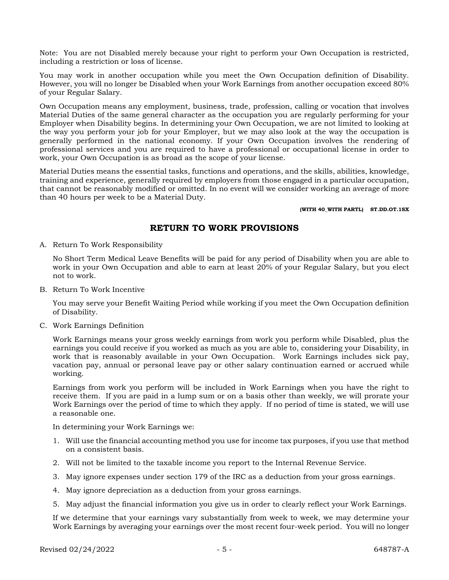Note: You are not Disabled merely because your right to perform your Own Occupation is restricted, including a restriction or loss of license.

You may work in another occupation while you meet the Own Occupation definition of Disability. However, you will no longer be Disabled when your Work Earnings from another occupation exceed 80% of your Regular Salary.

Own Occupation means any employment, business, trade, profession, calling or vocation that involves Material Duties of the same general character as the occupation you are regularly performing for your Employer when Disability begins. In determining your Own Occupation, we are not limited to looking at the way you perform your job for your Employer, but we may also look at the way the occupation is generally performed in the national economy. If your Own Occupation involves the rendering of professional services and you are required to have a professional or occupational license in order to work, your Own Occupation is as broad as the scope of your license.

Material Duties means the essential tasks, functions and operations, and the skills, abilities, knowledge, training and experience, generally required by employers from those engaged in a particular occupation, that cannot be reasonably modified or omitted. In no event will we consider working an average of more than 40 hours per week to be a Material Duty.

#### **(WITH 40\_WITH PARTL) ST.DD.OT.1SX**

### **RETURN TO WORK PROVISIONS**

A. Return To Work Responsibility

No Short Term Medical Leave Benefits will be paid for any period of Disability when you are able to work in your Own Occupation and able to earn at least 20% of your Regular Salary, but you elect not to work.

B. Return To Work Incentive

You may serve your Benefit Waiting Period while working if you meet the Own Occupation definition of Disability.

C. Work Earnings Definition

Work Earnings means your gross weekly earnings from work you perform while Disabled, plus the earnings you could receive if you worked as much as you are able to, considering your Disability, in work that is reasonably available in your Own Occupation. Work Earnings includes sick pay, vacation pay, annual or personal leave pay or other salary continuation earned or accrued while working.

Earnings from work you perform will be included in Work Earnings when you have the right to receive them. If you are paid in a lump sum or on a basis other than weekly, we will prorate your Work Earnings over the period of time to which they apply. If no period of time is stated, we will use a reasonable one.

In determining your Work Earnings we:

- 1. Will use the financial accounting method you use for income tax purposes, if you use that method on a consistent basis.
- 2. Will not be limited to the taxable income you report to the Internal Revenue Service.
- 3. May ignore expenses under section 179 of the IRC as a deduction from your gross earnings.
- 4. May ignore depreciation as a deduction from your gross earnings.
- 5. May adjust the financial information you give us in order to clearly reflect your Work Earnings.

If we determine that your earnings vary substantially from week to week, we may determine your Work Earnings by averaging your earnings over the most recent four-week period. You will no longer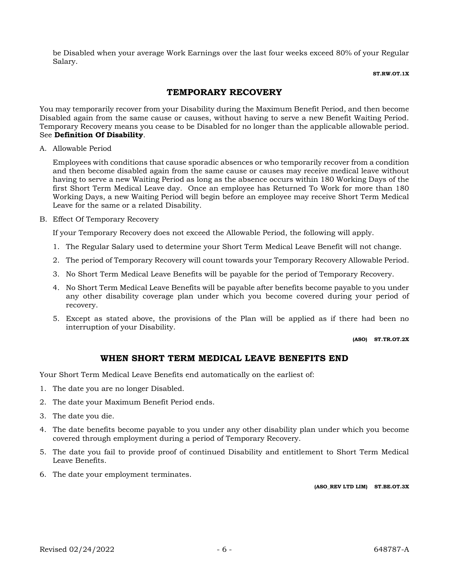be Disabled when your average Work Earnings over the last four weeks exceed 80% of your Regular Salary.

#### **ST.RW.OT.1X**

## **TEMPORARY RECOVERY**

You may temporarily recover from your Disability during the Maximum Benefit Period, and then become Disabled again from the same cause or causes, without having to serve a new Benefit Waiting Period. Temporary Recovery means you cease to be Disabled for no longer than the applicable allowable period. See **Definition Of Disability**.

A. Allowable Period

Employees with conditions that cause sporadic absences or who temporarily recover from a condition and then become disabled again from the same cause or causes may receive medical leave without having to serve a new Waiting Period as long as the absence occurs within 180 Working Days of the first Short Term Medical Leave day. Once an employee has Returned To Work for more than 180 Working Days, a new Waiting Period will begin before an employee may receive Short Term Medical Leave for the same or a related Disability.

B. Effect Of Temporary Recovery

If your Temporary Recovery does not exceed the Allowable Period, the following will apply.

- 1. The Regular Salary used to determine your Short Term Medical Leave Benefit will not change.
- 2. The period of Temporary Recovery will count towards your Temporary Recovery Allowable Period.
- 3. No Short Term Medical Leave Benefits will be payable for the period of Temporary Recovery.
- 4. No Short Term Medical Leave Benefits will be payable after benefits become payable to you under any other disability coverage plan under which you become covered during your period of recovery.
- 5. Except as stated above, the provisions of the Plan will be applied as if there had been no interruption of your Disability.

**(ASO) ST.TR.OT.2X**

## **WHEN SHORT TERM MEDICAL LEAVE BENEFITS END**

Your Short Term Medical Leave Benefits end automatically on the earliest of:

- 1. The date you are no longer Disabled.
- 2. The date your Maximum Benefit Period ends.
- 3. The date you die.
- 4. The date benefits become payable to you under any other disability plan under which you become covered through employment during a period of Temporary Recovery.
- 5. The date you fail to provide proof of continued Disability and entitlement to Short Term Medical Leave Benefits.
- 6. The date your employment terminates.

**(ASO\_REV LTD LIM) ST.BE.OT.3X**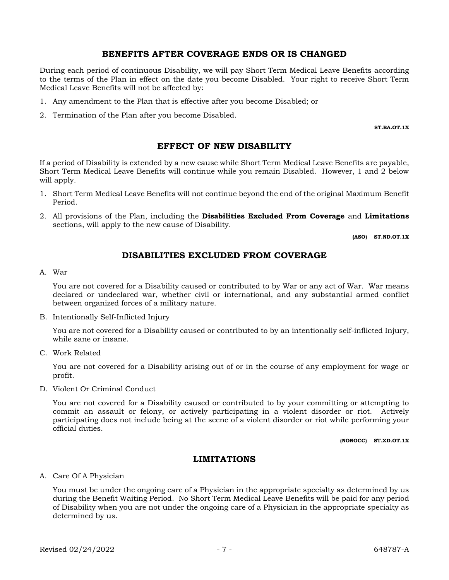#### **BENEFITS AFTER COVERAGE ENDS OR IS CHANGED**

During each period of continuous Disability, we will pay Short Term Medical Leave Benefits according to the terms of the Plan in effect on the date you become Disabled. Your right to receive Short Term Medical Leave Benefits will not be affected by:

- 1. Any amendment to the Plan that is effective after you become Disabled; or
- 2. Termination of the Plan after you become Disabled.

**ST.BA.OT.1X**

#### **EFFECT OF NEW DISABILITY**

If a period of Disability is extended by a new cause while Short Term Medical Leave Benefits are payable, Short Term Medical Leave Benefits will continue while you remain Disabled. However, 1 and 2 below will apply.

- 1. Short Term Medical Leave Benefits will not continue beyond the end of the original Maximum Benefit Period.
- 2. All provisions of the Plan, including the **Disabilities Excluded From Coverage** and **Limitations**  sections, will apply to the new cause of Disability.

**(ASO) ST.ND.OT.1X**

### **DISABILITIES EXCLUDED FROM COVERAGE**

#### A. War

You are not covered for a Disability caused or contributed to by War or any act of War. War means declared or undeclared war, whether civil or international, and any substantial armed conflict between organized forces of a military nature.

B. Intentionally Self-Inflicted Injury

You are not covered for a Disability caused or contributed to by an intentionally self-inflicted Injury, while sane or insane.

C. Work Related

You are not covered for a Disability arising out of or in the course of any employment for wage or profit.

D. Violent Or Criminal Conduct

You are not covered for a Disability caused or contributed to by your committing or attempting to commit an assault or felony, or actively participating in a violent disorder or riot. Actively participating does not include being at the scene of a violent disorder or riot while performing your official duties.

**(NONOCC) ST.XD.OT.1X**

#### **LIMITATIONS**

A. Care Of A Physician

You must be under the ongoing care of a Physician in the appropriate specialty as determined by us during the Benefit Waiting Period. No Short Term Medical Leave Benefits will be paid for any period of Disability when you are not under the ongoing care of a Physician in the appropriate specialty as determined by us.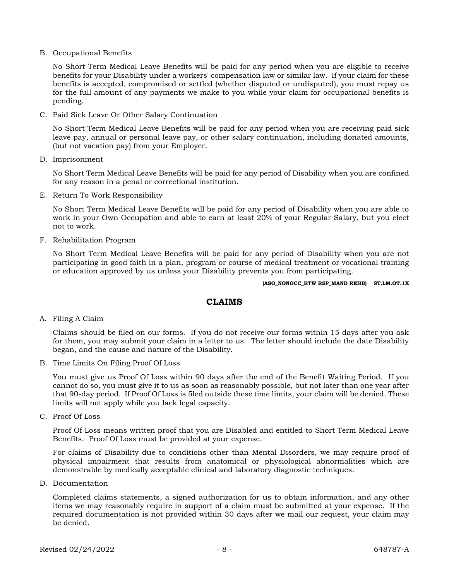B. Occupational Benefits

No Short Term Medical Leave Benefits will be paid for any period when you are eligible to receive benefits for your Disability under a workers' compensation law or similar law. If your claim for these benefits is accepted, compromised or settled (whether disputed or undisputed), you must repay us for the full amount of any payments we make to you while your claim for occupational benefits is pending.

C. Paid Sick Leave Or Other Salary Continuation

No Short Term Medical Leave Benefits will be paid for any period when you are receiving paid sick leave pay, annual or personal leave pay, or other salary continuation, including donated amounts, (but not vacation pay) from your Employer.

D. Imprisonment

No Short Term Medical Leave Benefits will be paid for any period of Disability when you are confined for any reason in a penal or correctional institution.

E. Return To Work Responsibility

No Short Term Medical Leave Benefits will be paid for any period of Disability when you are able to work in your Own Occupation and able to earn at least 20% of your Regular Salary, but you elect not to work.

F. Rehabilitation Program

No Short Term Medical Leave Benefits will be paid for any period of Disability when you are not participating in good faith in a plan, program or course of medical treatment or vocational training or education approved by us unless your Disability prevents you from participating.

#### **(ASO\_NONOCC\_RTW RSP\_MAND REHB) ST.LM.OT.1X**

### **CLAIMS**

A. Filing A Claim

Claims should be filed on our forms. If you do not receive our forms within 15 days after you ask for them, you may submit your claim in a letter to us. The letter should include the date Disability began, and the cause and nature of the Disability.

B. Time Limits On Filing Proof Of Loss

You must give us Proof Of Loss within 90 days after the end of the Benefit Waiting Period. If you cannot do so, you must give it to us as soon as reasonably possible, but not later than one year after that 90-day period. If Proof Of Loss is filed outside these time limits, your claim will be denied. These limits will not apply while you lack legal capacity.

C. Proof Of Loss

Proof Of Loss means written proof that you are Disabled and entitled to Short Term Medical Leave Benefits. Proof Of Loss must be provided at your expense.

For claims of Disability due to conditions other than Mental Disorders, we may require proof of physical impairment that results from anatomical or physiological abnormalities which are demonstrable by medically acceptable clinical and laboratory diagnostic techniques.

D. Documentation

Completed claims statements, a signed authorization for us to obtain information, and any other items we may reasonably require in support of a claim must be submitted at your expense. If the required documentation is not provided within 30 days after we mail our request, your claim may be denied.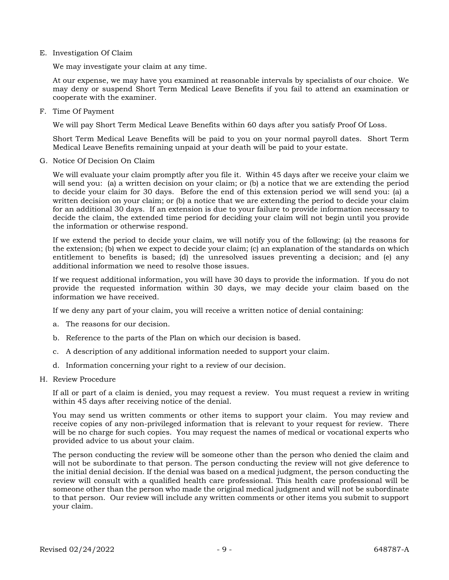E. Investigation Of Claim

We may investigate your claim at any time.

At our expense, we may have you examined at reasonable intervals by specialists of our choice. We may deny or suspend Short Term Medical Leave Benefits if you fail to attend an examination or cooperate with the examiner.

F. Time Of Payment

We will pay Short Term Medical Leave Benefits within 60 days after you satisfy Proof Of Loss.

Short Term Medical Leave Benefits will be paid to you on your normal payroll dates. Short Term Medical Leave Benefits remaining unpaid at your death will be paid to your estate.

G. Notice Of Decision On Claim

We will evaluate your claim promptly after you file it. Within 45 days after we receive your claim we will send you: (a) a written decision on your claim; or (b) a notice that we are extending the period to decide your claim for 30 days. Before the end of this extension period we will send you: (a) a written decision on your claim; or (b) a notice that we are extending the period to decide your claim for an additional 30 days. If an extension is due to your failure to provide information necessary to decide the claim, the extended time period for deciding your claim will not begin until you provide the information or otherwise respond.

If we extend the period to decide your claim, we will notify you of the following: (a) the reasons for the extension; (b) when we expect to decide your claim; (c) an explanation of the standards on which entitlement to benefits is based; (d) the unresolved issues preventing a decision; and (e) any additional information we need to resolve those issues.

If we request additional information, you will have 30 days to provide the information. If you do not provide the requested information within 30 days, we may decide your claim based on the information we have received.

If we deny any part of your claim, you will receive a written notice of denial containing:

- a. The reasons for our decision.
- b. Reference to the parts of the Plan on which our decision is based.
- c. A description of any additional information needed to support your claim.
- d. Information concerning your right to a review of our decision.
- H. Review Procedure

If all or part of a claim is denied, you may request a review. You must request a review in writing within 45 days after receiving notice of the denial.

You may send us written comments or other items to support your claim. You may review and receive copies of any non-privileged information that is relevant to your request for review. There will be no charge for such copies. You may request the names of medical or vocational experts who provided advice to us about your claim.

The person conducting the review will be someone other than the person who denied the claim and will not be subordinate to that person. The person conducting the review will not give deference to the initial denial decision. If the denial was based on a medical judgment, the person conducting the review will consult with a qualified health care professional. This health care professional will be someone other than the person who made the original medical judgment and will not be subordinate to that person. Our review will include any written comments or other items you submit to support your claim.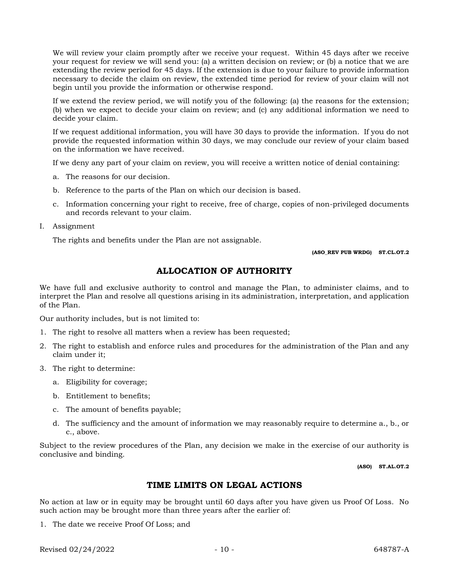We will review your claim promptly after we receive your request. Within 45 days after we receive your request for review we will send you: (a) a written decision on review; or (b) a notice that we are extending the review period for 45 days. If the extension is due to your failure to provide information necessary to decide the claim on review, the extended time period for review of your claim will not begin until you provide the information or otherwise respond.

If we extend the review period, we will notify you of the following: (a) the reasons for the extension; (b) when we expect to decide your claim on review; and (c) any additional information we need to decide your claim.

If we request additional information, you will have 30 days to provide the information. If you do not provide the requested information within 30 days, we may conclude our review of your claim based on the information we have received.

If we deny any part of your claim on review, you will receive a written notice of denial containing:

- a. The reasons for our decision.
- b. Reference to the parts of the Plan on which our decision is based.
- c. Information concerning your right to receive, free of charge, copies of non-privileged documents and records relevant to your claim.
- I. Assignment

The rights and benefits under the Plan are not assignable.

**(ASO\_REV PUB WRDG) ST.CL.OT.2**

## **ALLOCATION OF AUTHORITY**

We have full and exclusive authority to control and manage the Plan, to administer claims, and to interpret the Plan and resolve all questions arising in its administration, interpretation, and application of the Plan.

Our authority includes, but is not limited to:

- 1. The right to resolve all matters when a review has been requested;
- 2. The right to establish and enforce rules and procedures for the administration of the Plan and any claim under it;
- 3. The right to determine:
	- a. Eligibility for coverage;
	- b. Entitlement to benefits;
	- c. The amount of benefits payable;
	- d. The sufficiency and the amount of information we may reasonably require to determine a., b., or c., above.

Subject to the review procedures of the Plan, any decision we make in the exercise of our authority is conclusive and binding.

**(ASO) ST.AL.OT.2**

### **TIME LIMITS ON LEGAL ACTIONS**

No action at law or in equity may be brought until 60 days after you have given us Proof Of Loss. No such action may be brought more than three years after the earlier of:

1. The date we receive Proof Of Loss; and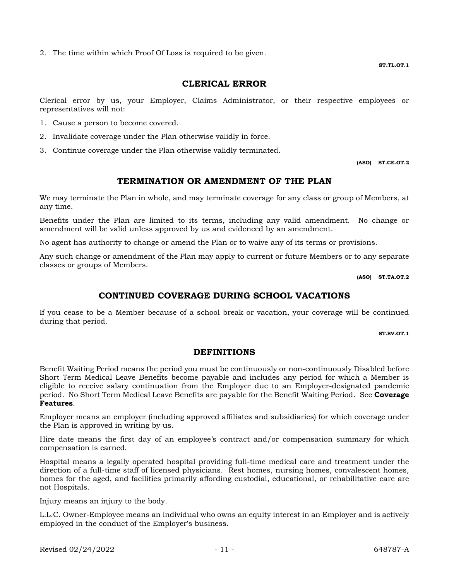2. The time within which Proof Of Loss is required to be given.

### **CLERICAL ERROR**

Clerical error by us, your Employer, Claims Administrator, or their respective employees or representatives will not:

- 1. Cause a person to become covered.
- 2. Invalidate coverage under the Plan otherwise validly in force.
- 3. Continue coverage under the Plan otherwise validly terminated.

**(ASO) ST.CE.OT.2**

## **TERMINATION OR AMENDMENT OF THE PLAN**

We may terminate the Plan in whole, and may terminate coverage for any class or group of Members, at any time.

Benefits under the Plan are limited to its terms, including any valid amendment. No change or amendment will be valid unless approved by us and evidenced by an amendment.

No agent has authority to change or amend the Plan or to waive any of its terms or provisions.

Any such change or amendment of the Plan may apply to current or future Members or to any separate classes or groups of Members.

**(ASO) ST.TA.OT.2**

### **CONTINUED COVERAGE DURING SCHOOL VACATIONS**

If you cease to be a Member because of a school break or vacation, your coverage will be continued during that period.

**ST.SV.OT.1**

#### **DEFINITIONS**

Benefit Waiting Period means the period you must be continuously or non-continuously Disabled before Short Term Medical Leave Benefits become payable and includes any period for which a Member is eligible to receive salary continuation from the Employer due to an Employer-designated pandemic period. No Short Term Medical Leave Benefits are payable for the Benefit Waiting Period. See **Coverage Features**.

Employer means an employer (including approved affiliates and subsidiaries) for which coverage under the Plan is approved in writing by us.

Hire date means the first day of an employee's contract and/or compensation summary for which compensation is earned.

Hospital means a legally operated hospital providing full-time medical care and treatment under the direction of a full-time staff of licensed physicians. Rest homes, nursing homes, convalescent homes, homes for the aged, and facilities primarily affording custodial, educational, or rehabilitative care are not Hospitals.

Injury means an injury to the body.

L.L.C. Owner-Employee means an individual who owns an equity interest in an Employer and is actively employed in the conduct of the Employer's business.

**ST.TL.OT.1**